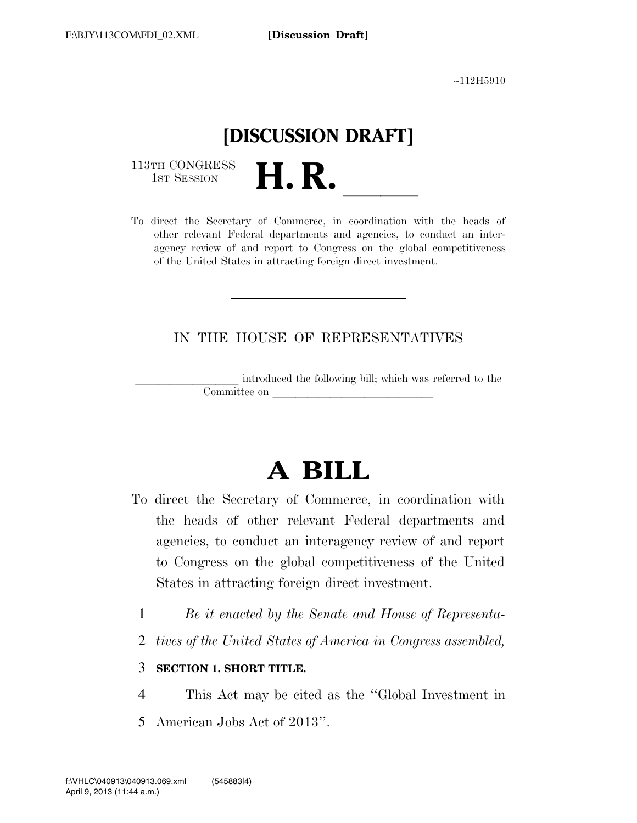∼112H5910

## **[DISCUSSION DRAFT]**

113TH CONGRESS<br>1st Session

113TH CONGRESS<br>
1ST SESSION<br>
To direct the Secretary of Commerce, in coordination with the heads of other relevant Federal departments and agencies, to conduct an interagency review of and report to Congress on the global competitiveness of the United States in attracting foreign direct investment.

## IN THE HOUSE OF REPRESENTATIVES

introduced the following bill; which was referred to the Committee on

# **A BILL**

- To direct the Secretary of Commerce, in coordination with the heads of other relevant Federal departments and agencies, to conduct an interagency review of and report to Congress on the global competitiveness of the United States in attracting foreign direct investment.
	- 1 *Be it enacted by the Senate and House of Representa-*
	- 2 *tives of the United States of America in Congress assembled,*

## 3 **SECTION 1. SHORT TITLE.**

- 4 This Act may be cited as the ''Global Investment in
- 5 American Jobs Act of 2013''.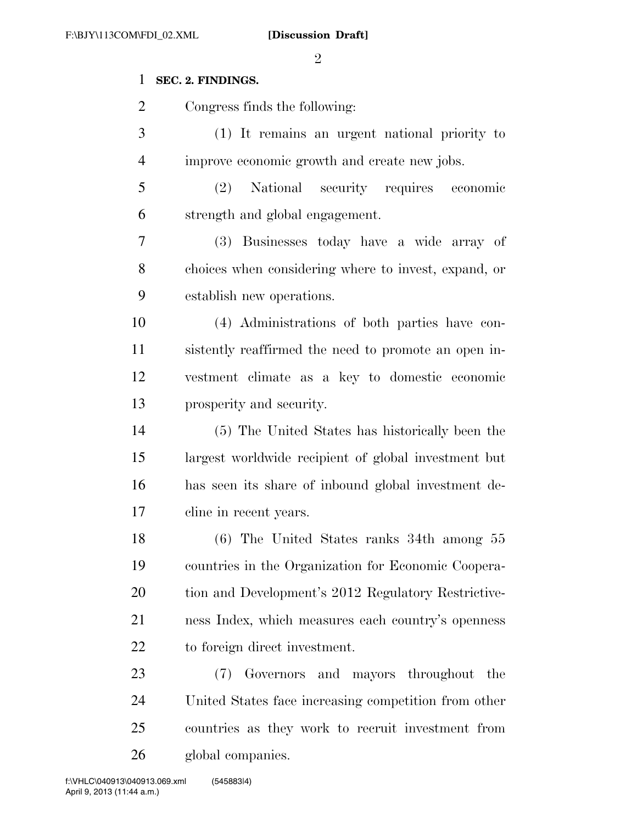$\mathcal{D}_{\mathcal{L}}$ 

## **SEC. 2. FINDINGS.**

 Congress finds the following: (1) It remains an urgent national priority to improve economic growth and create new jobs. (2) National security requires economic strength and global engagement. (3) Businesses today have a wide array of choices when considering where to invest, expand, or establish new operations. (4) Administrations of both parties have con- sistently reaffirmed the need to promote an open in- vestment climate as a key to domestic economic prosperity and security. (5) The United States has historically been the largest worldwide recipient of global investment but has seen its share of inbound global investment de- cline in recent years. (6) The United States ranks 34th among 55 countries in the Organization for Economic Coopera- tion and Development's 2012 Regulatory Restrictive- ness Index, which measures each country's openness to foreign direct investment. (7) Governors and mayors throughout the United States face increasing competition from other countries as they work to recruit investment from

global companies.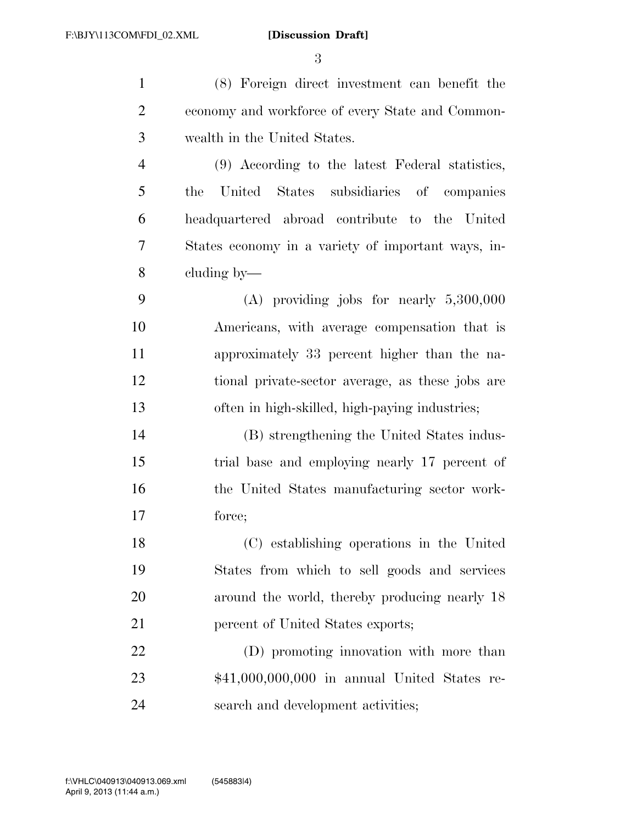(8) Foreign direct investment can benefit the economy and workforce of every State and Common- wealth in the United States. (9) According to the latest Federal statistics, the United States subsidiaries of companies headquartered abroad contribute to the United States economy in a variety of important ways, in- cluding by— (A) providing jobs for nearly 5,300,000 Americans, with average compensation that is approximately 33 percent higher than the na-tional private-sector average, as these jobs are

(B) strengthening the United States indus-

often in high-skilled, high-paying industries;

 trial base and employing nearly 17 percent of the United States manufacturing sector work-force;

 (C) establishing operations in the United States from which to sell goods and services 20 around the world, thereby producing nearly 18 21 percent of United States exports;

 (D) promoting innovation with more than \$41,000,000,000 in annual United States re-search and development activities;

April 9, 2013 (11:44 a.m.) f:\VHLC\040913\040913.069.xml (545883|4)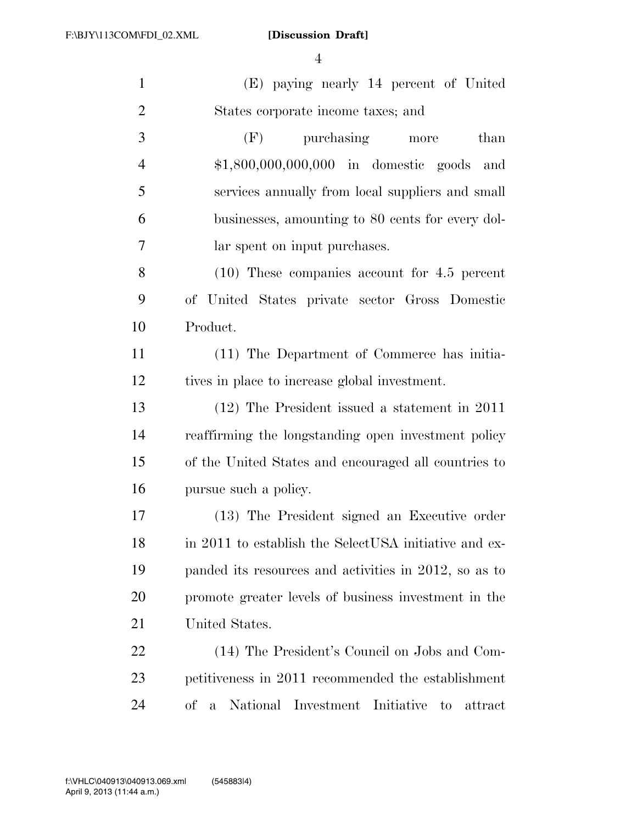(E) paying nearly 14 percent of United States corporate income taxes; and (F) purchasing more than \$1,800,000,000,000 in domestic goods and services annually from local suppliers and small businesses, amounting to 80 cents for every dol- lar spent on input purchases. (10) These companies account for 4.5 percent of United States private sector Gross Domestic Product. (11) The Department of Commerce has initia- tives in place to increase global investment. (12) The President issued a statement in 2011 reaffirming the longstanding open investment policy of the United States and encouraged all countries to pursue such a policy. (13) The President signed an Executive order 18 in 2011 to establish the SelectUSA initiative and ex-

 panded its resources and activities in 2012, so as to promote greater levels of business investment in the United States.

 (14) The President's Council on Jobs and Com- petitiveness in 2011 recommended the establishment of a National Investment Initiative to attract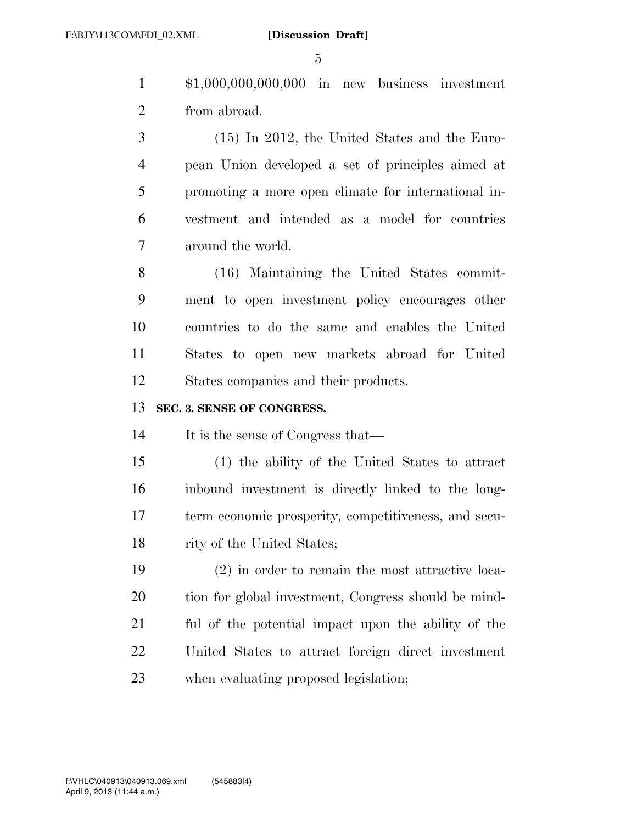\$1,000,000,000,000 in new business investment from abroad.

 (15) In 2012, the United States and the Euro- pean Union developed a set of principles aimed at promoting a more open climate for international in- vestment and intended as a model for countries around the world.

 (16) Maintaining the United States commit- ment to open investment policy encourages other countries to do the same and enables the United States to open new markets abroad for United States companies and their products.

## **SEC. 3. SENSE OF CONGRESS.**

It is the sense of Congress that—

 (1) the ability of the United States to attract inbound investment is directly linked to the long- term economic prosperity, competitiveness, and secu-18 rity of the United States;

 (2) in order to remain the most attractive loca- tion for global investment, Congress should be mind- ful of the potential impact upon the ability of the United States to attract foreign direct investment when evaluating proposed legislation;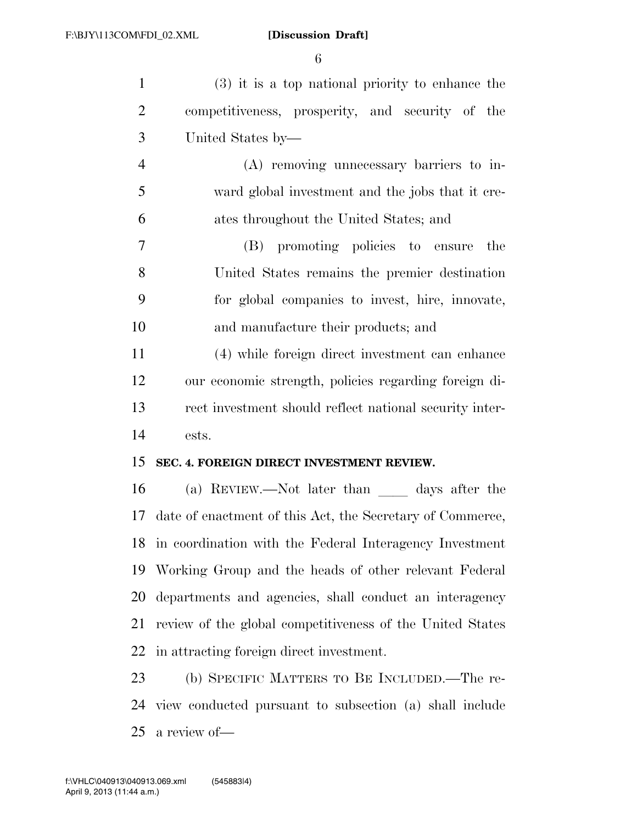| $\mathbf{1}$               | $(3)$ it is a top national priority to enhance the         |
|----------------------------|------------------------------------------------------------|
| $\overline{2}$             | competitiveness, prosperity, and security of the           |
| 3                          | United States by—                                          |
| $\overline{4}$             | (A) removing unnecessary barriers to in-                   |
| 5                          | ward global investment and the jobs that it cre-           |
| 6                          | ates throughout the United States; and                     |
| 7                          | (B) promoting policies to ensure<br>the                    |
| 8                          | United States remains the premier destination              |
| 9                          | for global companies to invest, hire, innovate,            |
| 10                         | and manufacture their products; and                        |
| 11                         | (4) while foreign direct investment can enhance            |
| 12                         | our economic strength, policies regarding foreign di-      |
| 13                         | rect investment should reflect national security inter-    |
|                            |                                                            |
|                            | ests.                                                      |
|                            | SEC. 4. FOREIGN DIRECT INVESTMENT REVIEW.                  |
|                            | (a) REVIEW.—Not later than days after the                  |
|                            | date of enactment of this Act, the Secretary of Commerce,  |
|                            | 18 in coordination with the Federal Interagency Investment |
|                            | 19 Working Group and the heads of other relevant Federal   |
| 14<br>15<br>16<br>17<br>20 | departments and agencies, shall conduct an interagency     |
| 21                         | review of the global competitiveness of the United States  |
| 22                         | in attracting foreign direct investment.                   |
| 23                         | (b) SPECIFIC MATTERS TO BE INCLUDED.—The re-               |

a review of—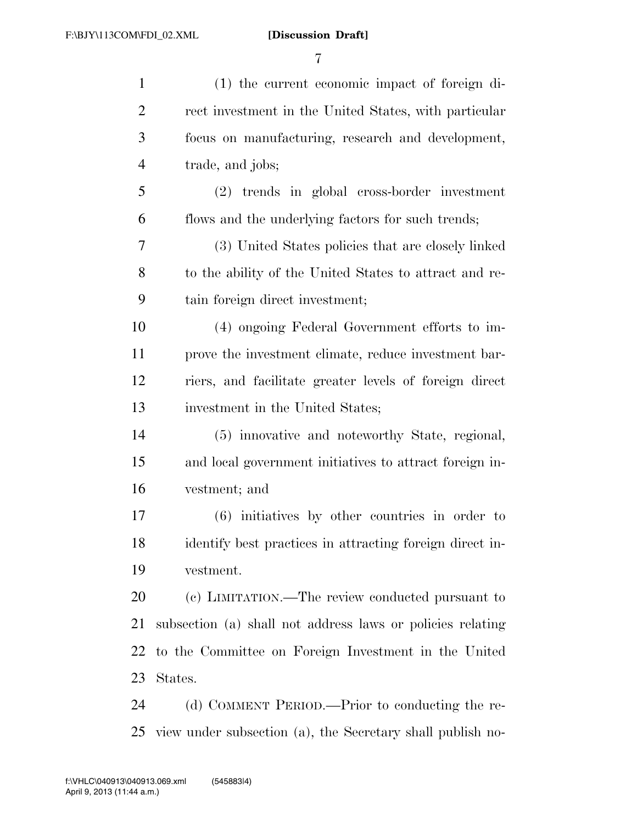| $\mathbf{1}$   | (1) the current economic impact of foreign di-             |
|----------------|------------------------------------------------------------|
| $\overline{2}$ | rect investment in the United States, with particular      |
| 3              | focus on manufacturing, research and development,          |
| $\overline{4}$ | trade, and jobs;                                           |
| 5              | (2) trends in global cross-border investment               |
| 6              | flows and the underlying factors for such trends;          |
| 7              | (3) United States policies that are closely linked         |
| 8              | to the ability of the United States to attract and re-     |
| 9              | tain foreign direct investment;                            |
| 10             | (4) ongoing Federal Government efforts to im-              |
| 11             | prove the investment climate, reduce investment bar-       |
| 12             | riers, and facilitate greater levels of foreign direct     |
| 13             | investment in the United States;                           |
| 14             | (5) innovative and noteworthy State, regional,             |
| 15             | and local government initiatives to attract foreign in-    |
| 16             | vestment; and                                              |
| 17             | $(6)$ initiatives by other countries in order to           |
| 18             | identify best practices in attracting foreign direct in-   |
| 19             | vestment.                                                  |
| 20             | (c) LIMITATION.—The review conducted pursuant to           |
| 21             | subsection (a) shall not address laws or policies relating |
| 22             | to the Committee on Foreign Investment in the United       |
| 23             | States.                                                    |
| 24             | (d) COMMENT PERIOD.—Prior to conducting the re-            |
| 25             | view under subsection (a), the Secretary shall publish no- |